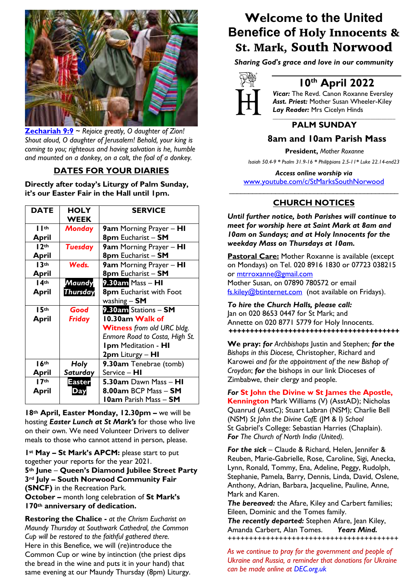

**Zechariah 9:9** ~ *Rejoice greatly, O daughter of Zion! Shout aloud, O daughter of Jerusalem! Behold, your king is coming to you; righteous and having salvation is he, humble and mounted on a donkey, on a colt, the foal of a donkey.*

## **DATES FOR YOUR DIARIES**

**Directly after today's Liturgy of Palm Sunday, it's our Easter Fair in the Hall until 1pm.**

| <b>DATE</b>       | <b>HOLY</b>     | <b>SERVICE</b>                    |
|-------------------|-----------------|-----------------------------------|
|                   | <b>WEEK</b>     |                                   |
| $\blacksquare$ th | <b>Monday</b>   | 9am Morning Prayer – HI           |
| April             |                 | 8pm Eucharist - SM                |
| 12 <sup>th</sup>  | <b>Tuesday</b>  | 9am Morning Prayer - HI           |
| April             |                 | 8pm Eucharist - SM                |
| 13 <sup>th</sup>  | Weds.           | 9am Morning Prayer - HI           |
| April             |                 | 8pm Eucharist - SM                |
| 14 <sup>th</sup>  | Maundy          | 9.30am Mass - HI                  |
| April             | <b>Thursday</b> | 8pm Eucharist with Foot           |
|                   |                 | washing $-$ SM                    |
| 15 <sup>th</sup>  | Good            | 9.30am Stations - SM              |
| April             | <b>Friday</b>   | 10.30am Walk of                   |
|                   |                 | <b>Witness</b> from old URC bldg. |
|                   |                 | Enmore Road to Costa, High St.    |
|                   |                 | <b>Ipm Meditation - HI</b>        |
|                   |                 | 2pm Liturgy – HI                  |
| 16 <sup>th</sup>  | Holy            | 9.30am Tenebrae (tomb)            |
| April             | Saturday        | Service - HI                      |
| 17 <sup>th</sup>  | Easter          | 5.30am Dawn Mass - HI             |
| April             | Day             | 8.00am BCP Mass - SM              |
|                   |                 | <b>10am Parish Mass - SM</b>      |

**18th April, Easter Monday, 12.30pm –** we will be hosting *Easter Lunch at St Mark's* for those who live on their own. We need Volunteer Drivers to deliver meals to those who cannot attend in person, please.

**1st May – St Mark's APCM:** please start to put together your reports for the year 2021. **5th June** – **Queen's Diamond Jubilee Street Party 3rd July – South Norwood Community Fair (SNCF)** in the Recreation Park. **October –** month long celebration of **St Mark's** 

**170th anniversary of dedication.**

**Restoring the Chalice -** *at the Chrism Eucharist on Maundy Thursday at Southwark Cathedral, the Common Cup will be restored to the faithful gathered there.* Here in this Benefice, we will (re)introduce the Common Cup or wine by intinction (the priest dips the bread in the wine and puts it in your hand) that same evening at our Maundy Thursday (8pm) Liturgy.

# **Welcome to the United Benefice of** Holy Innocents & St. Mark, South Norwood

*Sharing God's grace and love in our community*



# **10th April 2022**

*Vicar:* The Revd. Canon Roxanne Eversley *Asst. Priest:* Mother Susan Wheeler-Kiley *Lay Reader:* Mrs Cicelyn Hinds *\_\_\_\_\_\_\_\_\_\_\_\_\_\_\_\_\_\_\_\_\_\_\_\_\_\_\_\_\_\_\_\_\_\_\_\_\_\_\_\_\_\_\_\_*

# **PALM SUNDAY**

## **8am and 10am Parish Mass**

 **President,** *Mother Roxanne*

 *Isaiah 50.4-9 \* Psalm 31.9-16 \* Philippians 2.5-11\* Luke 22.14-end23*

*Access online worship via* www.youtube.com/c/StMarksSouthNorwood \_\_\_\_\_\_\_\_\_\_\_\_\_\_\_\_\_\_\_\_\_\_\_\_\_\_\_\_\_\_\_\_\_\_\_\_\_\_\_\_\_\_\_\_

## **CHURCH NOTICES**

*Until further notice, both Parishes will continue to meet for worship here at Saint Mark at 8am and 10am on Sundays; and at Holy Innocents for the weekday Mass on Thursdays at 10am.* 

**Pastoral Care:** Mother Roxanne is available (except on Mondays) on Tel. 020 8916 1830 or 07723 038215 or mtrroxanne@gmail.com Mother Susan, on 07890 780572 or email fs.kiley@btinternet.com (not available on Fridays).

*To hire the Church Halls, please call:* Jan on 020 8653 0447 for St Mark; and Annette on 020 8771 5779 for Holy Innocents. *++++++++++++++++++++++++++++++++++++++++*

**We pray:** *for Archbishops* Justin and Stephen; *for the Bishops in this Diocese,* Christopher, Richard and Karowei *and for the appointment of the new Bishop of Croydon*; *for* the bishops in our link Dioceses of Zimbabwe, their clergy and people.

### *For* **St John the Divine w St James the Apostle,**

**Kennington** Mark Williams (V) (AsstAD); Nicholas Quanrud (AsstC); Stuart Labran (NSM); Charlie Bell (NSM) *St John the Divine CofE* (JM & I) *School*  St Gabriel's College: Sebastian Harries (Chaplain). *For The Church of North India (United).*

*For the sick* – Claude & Richard, Helen, Jennifer & Reuben, Marie-Gabrielle, Rose, Caroline, Sigi, Anecka, Lynn, Ronald, Tommy, Ena, Adeline, Peggy, Rudolph, Stephanie, Pamela, Barry, Dennis, Linda, David, Oslene, Anthony, Adrian, Barbara, Jacqueline, Pauline, Anne, Mark and Karen.

*The bereaved:* the Afare, Kiley and Carbert families; Eileen, Dominic and the Tomes family.

*The recently departed:* Stephen Afare, Jean Kiley, Amanda Carbert, Alan Tomes. *Years Mind. ++++++++++++++++++++++++++++++++++++++++*

*As we continue to pray for the government and people of Ukraine and Russia, a reminder that donations for Ukraine can be made online at DEC.org.uk*